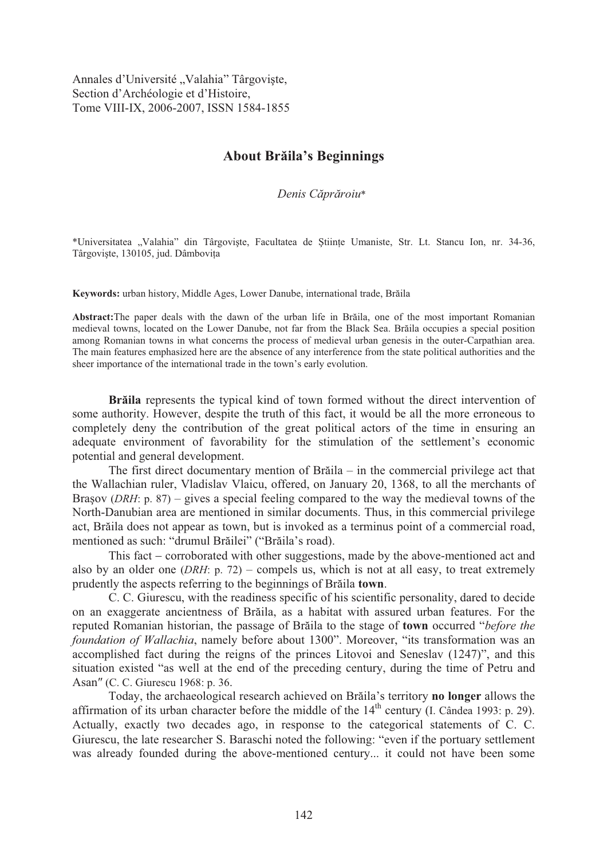Annales d'Université "Valahia" Târgoviște, Section d'Archéologie et d'Histoire, Tome VIII-IX, 2006-2007, ISSN 1584-1855

## **About Br ila's Beginnings**

*Denis C pr roiu*\*

\*Universitatea "Valahia" din Târgoviste, Facultatea de Stiinte Umaniste, Str. Lt. Stancu Ion, nr. 34-36, Târgoviște, 130105, jud. Dâmbovita

Keywords: urban history, Middle Ages, Lower Danube, international trade, Brăila

Abstract: The paper deals with the dawn of the urban life in Braila, one of the most important Romanian medieval towns, located on the Lower Danube, not far from the Black Sea. Brăila occupies a special position among Romanian towns in what concerns the process of medieval urban genesis in the outer-Carpathian area. The main features emphasized here are the absence of any interference from the state political authorities and the sheer importance of the international trade in the town's early evolution.

**Braila** represents the typical kind of town formed without the direct intervention of some authority. However, despite the truth of this fact, it would be all the more erroneous to completely deny the contribution of the great political actors of the time in ensuring an adequate environment of favorability for the stimulation of the settlement's economic potential and general development.

The first direct documentary mention of Braila  $-$  in the commercial privilege act that the Wallachian ruler, Vladislav Vlaicu, offered, on January 20, 1368, to all the merchants of Brasov (*DRH*: p. 87) – gives a special feeling compared to the way the medieval towns of the North-Danubian area are mentioned in similar documents. Thus, in this commercial privilege act, Brăila does not appear as town, but is invoked as a terminus point of a commercial road, mentioned as such: "drumul Brăilei" ("Brăila's road).

This fact  $-$  corroborated with other suggestions, made by the above-mentioned act and also by an older one (*DRH*: p. 72) – compels us, which is not at all easy, to treat extremely prudently the aspects referring to the beginnings of Brăila **town**.

C. C. Giurescu, with the readiness specific of his scientific personality, dared to decide on an exaggerate ancientness of Brăila, as a habitat with assured urban features. For the reputed Romanian historian, the passage of Brăila to the stage of **town** occurred "*before the foundation of Wallachia*, namely before about 1300". Moreover, "its transformation was an accomplished fact during the reigns of the princes Litovoi and Seneslav (1247)", and this situation existed "as well at the end of the preceding century, during the time of Petru and Asan" (C. C. Giurescu 1968: p. 36.

Today, the archaeological research achieved on Brăila's territory **no longer** allows the affirmation of its urban character before the middle of the  $14<sup>th</sup>$  century (I. Cândea 1993: p. 29). Actually, exactly two decades ago, in response to the categorical statements of C. C. Giurescu, the late researcher S. Baraschi noted the following: "even if the portuary settlement was already founded during the above-mentioned century... it could not have been some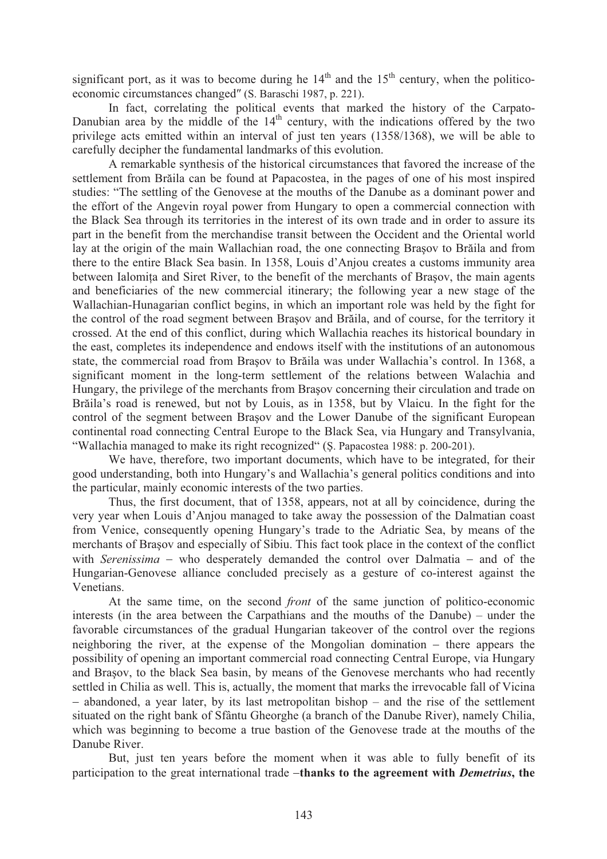significant port, as it was to become during he  $14<sup>th</sup>$  and the  $15<sup>th</sup>$  century, when the politicoeconomic circumstances changed" (S. Baraschi 1987, p. 221).

In fact, correlating the political events that marked the history of the Carpato-Danubian area by the middle of the  $14<sup>th</sup>$  century, with the indications offered by the two privilege acts emitted within an interval of just ten years (1358/1368), we will be able to carefully decipher the fundamental landmarks of this evolution.

A remarkable synthesis of the historical circumstances that favored the increase of the settlement from Brăila can be found at Papacostea, in the pages of one of his most inspired studies: "The settling of the Genovese at the mouths of the Danube as a dominant power and the effort of the Angevin royal power from Hungary to open a commercial connection with the Black Sea through its territories in the interest of its own trade and in order to assure its part in the benefit from the merchandise transit between the Occident and the Oriental world lay at the origin of the main Wallachian road, the one connecting Brasov to Brăila and from there to the entire Black Sea basin. In 1358, Louis d'Anjou creates a customs immunity area between Ialomita and Siret River, to the benefit of the merchants of Brasov, the main agents and beneficiaries of the new commercial itinerary; the following year a new stage of the Wallachian-Hunagarian conflict begins, in which an important role was held by the fight for the control of the road segment between Brasov and Brăila, and of course, for the territory it crossed. At the end of this conflict, during which Wallachia reaches its historical boundary in the east, completes its independence and endows itself with the institutions of an autonomous state, the commercial road from Brasov to Brăila was under Wallachia's control. In 1368, a significant moment in the long-term settlement of the relations between Walachia and Hungary, the privilege of the merchants from Brasov concerning their circulation and trade on Brăila's road is renewed, but not by Louis, as in 1358, but by Vlaicu. In the fight for the control of the segment between Brasov and the Lower Danube of the significant European continental road connecting Central Europe to the Black Sea, via Hungary and Transylvania, "Wallachia managed to make its right recognized" (S. Papacostea 1988: p. 200-201).

We have, therefore, two important documents, which have to be integrated, for their good understanding, both into Hungary's and Wallachia's general politics conditions and into the particular, mainly economic interests of the two parties.

Thus, the first document, that of 1358, appears, not at all by coincidence, during the very year when Louis d'Anjou managed to take away the possession of the Dalmatian coast from Venice, consequently opening Hungary's trade to the Adriatic Sea, by means of the merchants of Brasov and especially of Sibiu. This fact took place in the context of the conflict with *Serenissima* – who desperately demanded the control over Dalmatia – and of the Hungarian-Genovese alliance concluded precisely as a gesture of co-interest against the Venetians.

At the same time, on the second *front* of the same junction of politico-economic interests (in the area between the Carpathians and the mouths of the Danube) – under the favorable circumstances of the gradual Hungarian takeover of the control over the regions neighboring the river, at the expense of the Mongolian domination  $-$  there appears the possibility of opening an important commercial road connecting Central Europe, via Hungary and Brasov, to the black Sea basin, by means of the Genovese merchants who had recently settled in Chilia as well. This is, actually, the moment that marks the irrevocable fall of Vicina  $-$  abandoned, a year later, by its last metropolitan bishop  $-$  and the rise of the settlement situated on the right bank of Sfântu Gheorghe (a branch of the Danube River), namely Chilia, which was beginning to become a true bastion of the Genovese trade at the mouths of the Danube River.

But, just ten years before the moment when it was able to fully benefit of its participation to the great international trade **thanks to the agreement with** *Demetrius***, the**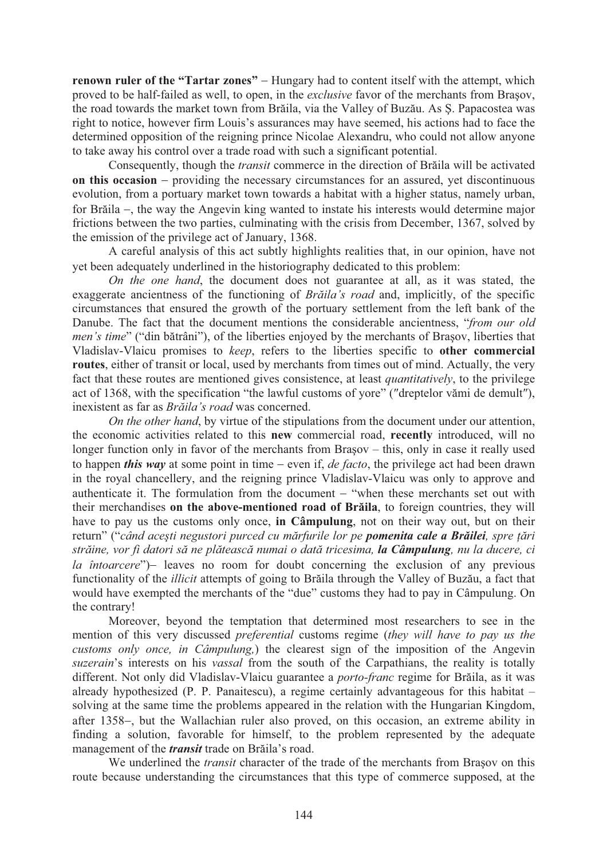**renown ruler of the "Tartar zones"** – Hungary had to content itself with the attempt, which proved to be half-failed as well, to open, in the *exclusive* favor of the merchants from Brasov, the road towards the market town from Brăila, via the Valley of Buzău. As S. Papacostea was right to notice, however firm Louis's assurances may have seemed, his actions had to face the determined opposition of the reigning prince Nicolae Alexandru, who could not allow anyone to take away his control over a trade road with such a significant potential.

Consequently, though the *transit* commerce in the direction of Brăila will be activated **on this occasion** – providing the necessary circumstances for an assured, yet discontinuous evolution, from a portuary market town towards a habitat with a higher status, namely urban, for Brăila –, the way the Angevin king wanted to instate his interests would determine major frictions between the two parties, culminating with the crisis from December, 1367, solved by the emission of the privilege act of January, 1368.

A careful analysis of this act subtly highlights realities that, in our opinion, have not yet been adequately underlined in the historiography dedicated to this problem!

*On the one hand*, the document does not guarantee at all, as it was stated, the exaggerate ancientness of the functioning of *Braila's road* and, implicitly, of the specific circumstances that ensured the growth of the portuary settlement from the left bank of the Danube. The fact that the document mentions the considerable ancientness, "*from our old men's time*" ("din bătrâni"), of the liberties enjoyed by the merchants of Brasov, liberties that Vladislav-Vlaicu promises to *keep*, refers to the liberties specific to **other commercial routes**, either of transit or local, used by merchants from times out of mind. Actually, the very fact that these routes are mentioned gives consistence, at least *quantitatively*, to the privilege act of 1368, with the specification "the lawful customs of yore" ("dreptelor vămi de demult"), inexistent as far as *Brãila's road* was concerned.

*On the other hand*, by virtue of the stipulations from the document under our attention, the economic activities related to this **new** commercial road, **recently** introduced, will no longer function only in favor of the merchants from Brasov  $-$  this, only in case it really used to happen *this way* at some point in time – even if, *de facto*, the privilege act had been drawn in the royal chancellery, and the reigning prince Vladislav-Vlaicu was only to approve and authenticate it. The formulation from the document  $-$  "when these merchants set out with their merchandises on the above-mentioned road of Brăila, to foreign countries, they will have to pay us the customs only once, **in Câmpulung**, not on their way out, but on their return" ("*când acești negustori purced cu mărfurile lor pe pomenita cale a Brăilei, spre țări str ine, vor fi datori s ne pl teasc numai o dat tricesima, la Câmpulung, nu la ducere, ci la întoarcere*") leaves no room for doubt concerning the exclusion of any previous functionality of the *illicit* attempts of going to Brăila through the Valley of Buzău, a fact that would have exempted the merchants of the "due" customs they had to pay in Câmpulung. On the contrary!

Moreover, beyond the temptation that determined most researchers to see in the mention of this very discussed *preferential* customs regime (*they will have to pay us the customs only once, in Câmpulung,*) the clearest sign of the imposition of the Angevin *suzerain*'s interests on his *vassal* from the south of the Carpathians, the reality is totally different. Not only did Vladislav-Vlaicu guarantee a *porto-franc* regime for Brăila, as it was already hypothesized (P. P. Panaitescu), a regime certainly advantageous for this habitat – solving at the same time the problems appeared in the relation with the Hungarian Kingdom, after 1358–, but the Wallachian ruler also proved, on this occasion, an extreme ability in finding a solution, favorable for himself, to the problem represented by the adequate management of the *transit* trade on Brăila's road.

We underlined the *transit* character of the trade of the merchants from Brasov on this route because understanding the circumstances that this type of commerce supposed, at the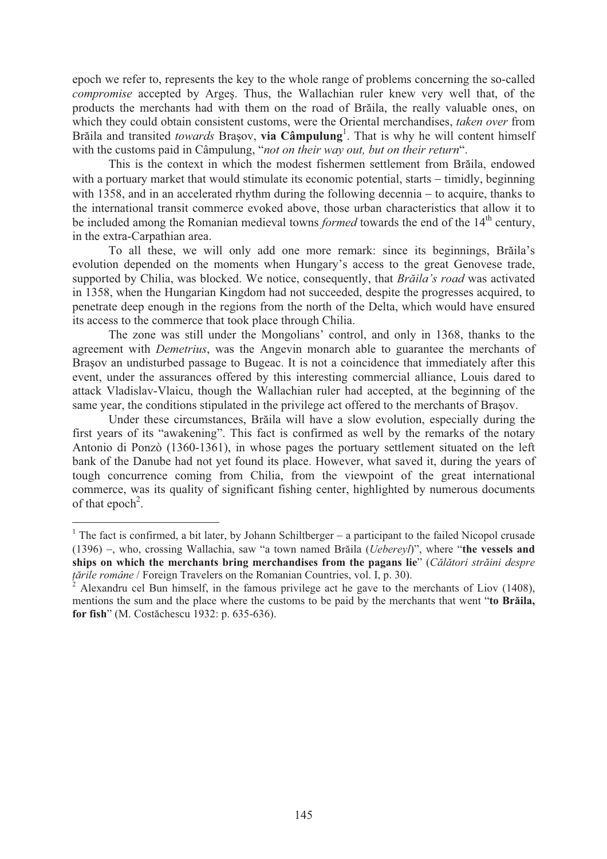epoch we refer to, represents the key to the whole range of problems concerning the so-called *compromise* accepted by Arges. Thus, the Wallachian ruler knew very well that, of the products the merchants had with them on the road of Brăila, the really valuable ones, on which they could obtain consistent customs, were the Oriental merchandises, *taken over* from Brăila and transited *towards* Brașov, via Câmpulung<sup>1</sup>. That is why he will content himself with the customs paid in Câmpulung, "*not on their way out, but on their return*".

This is the context in which the modest fishermen settlement from Brăila, endowed with a portuary market that would stimulate its economic potential, starts  $-$  timidly, beginning with 1358, and in an accelerated rhythm during the following decennia  $-$  to acquire, thanks to the international transit commerce evoked above, those urban characteristics that allow it to be included among the Romanian medieval towns *formed* towards the end of the 14<sup>th</sup> century, in the extra-Carpathian area.

To all these, we will only add one more remark: since its beginnings, Brăila's evolution depended on the moments when Hungary's access to the great Genovese trade, supported by Chilia, was blocked. We notice, consequently, that *Braila's road* was activated in 1358, when the Hungarian Kingdom had not succeeded, despite the progresses acquired, to penetrate deep enough in the regions from the north of the Delta, which would have ensured its access to the commerce that took place through Chilia.

The zone was still under the Mongolians' control, and only in 1368, thanks to the agreement with *Demetrius*, was the Angevin monarch able to guarantee the merchants of Brasov an undisturbed passage to Bugeac. It is not a coincidence that immediately after this event, under the assurances offered by this interesting commercial alliance, Louis dared to attack Vladislav-Vlaicu, though the Wallachian ruler had accepted, at the beginning of the same year, the conditions stipulated in the privilege act offered to the merchants of Brasov.

Under these circumstances, Brăila will have a slow evolution, especially during the first years of its "awakening". This fact is confirmed as well by the remarks of the notary Antonio di Ponzò (1360-1361), in whose pages the portuary settlement situated on the left bank of the Danube had not yet found its place. However, what saved it, during the years of tough concurrence coming from Chilia, from the viewpoint of the great international commerce, was its quality of significant fishing center, highlighted by numerous documents of that epoch<sup>2</sup>.

 $\overline{a}$ 

<sup>&</sup>lt;sup>1</sup> The fact is confirmed, a bit later, by Johann Schiltberger  $-$  a participant to the failed Nicopol crusade (1396) –, who, crossing Wallachia, saw "a town named Brăila (*Uebereyl*)", where "**the vessels and ships on which the merchants bring merchandises from the pagans lie**" (*C l tori str ini despre tările române* / Foreign Travelers on the Romanian Countries, vol. I, p. 30).

<sup>2</sup> Alexandru cel Bun himself, in the famous privilege act he gave to the merchants of Liov (1408), mentions the sum and the place where the customs to be paid by the merchants that went "**to Braila,** for fish" (M. Costăchescu 1932: p. 635-636).